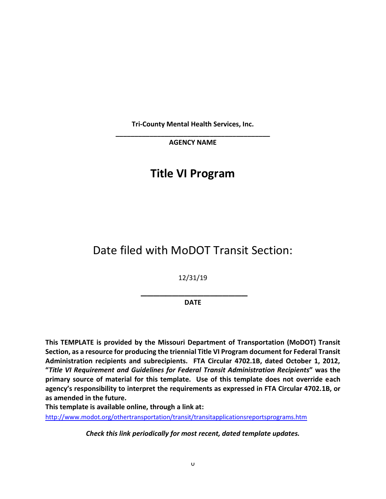**Tri-County Mental Health Services, Inc.**

**\_\_\_\_\_\_\_\_\_\_\_\_\_\_\_\_\_\_\_\_\_\_\_\_\_\_\_\_\_\_\_\_\_\_\_\_\_\_\_\_\_ AGENCY NAME**

# **Title VI Program**

# Date filed with MoDOT Transit Section:

12/31/19

\_\_\_\_\_\_\_\_\_\_\_\_\_\_\_\_\_ **DATE**

**This TEMPLATE is provided by the Missouri Department of Transportation (MoDOT) Transit Section, as a resource for producing the triennial Title VI Program document for Federal Transit Administration recipients and subrecipients. FTA Circular 4702.1B, dated October 1, 2012, "***Title VI Requirement and Guidelines for Federal Transit Administration Recipients***" was the primary source of material for this template. Use of this template does not override each agency's responsibility to interpret the requirements as expressed in FTA Circular 4702.1B, or as amended in the future.** 

**This template is available online, through a link at:**

<http://www.modot.org/othertransportation/transit/transitapplicationsreportsprograms.htm>

*Check this link periodically for most recent, dated template updates.*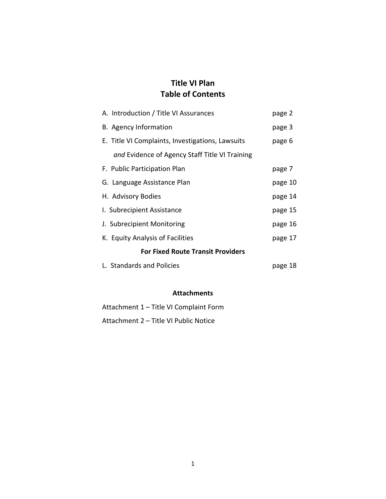# **Title VI Plan Table of Contents**

| A. Introduction / Title VI Assurances            | page 2  |
|--------------------------------------------------|---------|
| B. Agency Information                            | page 3  |
| E. Title VI Complaints, Investigations, Lawsuits | page 6  |
| and Evidence of Agency Staff Title VI Training   |         |
| F. Public Participation Plan                     | page 7  |
| G. Language Assistance Plan                      | page 10 |
| H. Advisory Bodies                               | page 14 |
| I. Subrecipient Assistance                       | page 15 |
| J. Subrecipient Monitoring                       | page 16 |
| K. Equity Analysis of Facilities                 | page 17 |
| <b>For Fixed Route Transit Providers</b>         |         |
| L. Standards and Policies                        | page 18 |

#### **Attachments**

Attachment 1 – Title VI Complaint Form Attachment 2 – Title VI Public Notice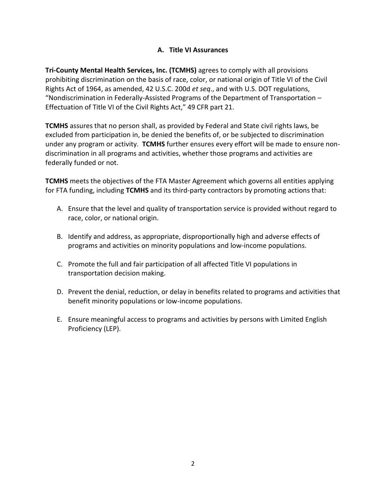#### **A. Title VI Assurances**

**Tri-County Mental Health Services, Inc. (TCMHS)** agrees to comply with all provisions prohibiting discrimination on the basis of race, color, or national origin of Title VI of the Civil Rights Act of 1964, as amended, 42 U.S.C. 200d *et seq*., and with U.S. DOT regulations, "Nondiscrimination in Federally-Assisted Programs of the Department of Transportation – Effectuation of Title VI of the Civil Rights Act," 49 CFR part 21.

**TCMHS** assures that no person shall, as provided by Federal and State civil rights laws, be excluded from participation in, be denied the benefits of, or be subjected to discrimination under any program or activity. **TCMHS** further ensures every effort will be made to ensure nondiscrimination in all programs and activities, whether those programs and activities are federally funded or not.

**TCMHS** meets the objectives of the FTA Master Agreement which governs all entities applying for FTA funding, including **TCMHS** and its third-party contractors by promoting actions that:

- A. Ensure that the level and quality of transportation service is provided without regard to race, color, or national origin.
- B. Identify and address, as appropriate, disproportionally high and adverse effects of programs and activities on minority populations and low-income populations.
- C. Promote the full and fair participation of all affected Title VI populations in transportation decision making.
- D. Prevent the denial, reduction, or delay in benefits related to programs and activities that benefit minority populations or low-income populations.
- E. Ensure meaningful access to programs and activities by persons with Limited English Proficiency (LEP).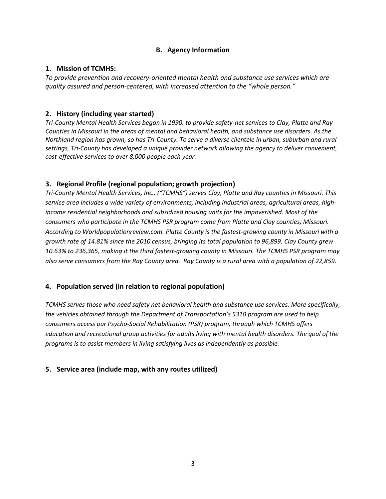#### **B. Agency Information**

#### **1. Mission of TCMHS:**

*To provide prevention and recovery-oriented mental health and substance use services which are quality assured and person-centered, with increased attention to the "whole person."*

#### **2. History (including year started)**

*Tri-County Mental Health Services began in 1990, to provide safety-net services to Clay, Platte and Ray Counties in Missouri in the areas of mental and behavioral health, and substance use disorders. As the Northland region has grown, so has Tri-County. To serve a diverse clientele in urban, suburban and rural settings, Tri-County has developed a unique provider network allowing the agency to deliver convenient, cost-effective services to over 8,000 people each year.*

#### **3. Regional Profile (regional population; growth projection)**

*Tri-County Mental Health Services, Inc., ("TCMHS") serves Clay, Platte and Ray counties in Missouri. This service area includes a wide variety of environments, including industrial areas, agricultural areas, highincome residential neighborhoods and subsidized housing units for the impoverished. Most of the consumers who participate in the TCMHS PSR program come from Platte and Clay counties, Missouri. According to Worldpopulationreview.com. Platte County is the fastest-growing county in Missouri with a growth rate of 14.81% since the 2010 census, bringing its total population to 96,899. Clay County grew 10.63% to 236,365, making it the third fastest-growing county in Missouri. The TCMHS PSR program may also serve consumers from the Ray County area. Ray County is a rural area with a population of 22,859.* 

#### **4. Population served (in relation to regional population)**

*TCMHS serves those who need safety net behavioral health and substance use services. More specifically, the vehicles obtained through the Department of Transportation's 5310 program are used to help consumers access our Psycho-Social Rehabilitation (PSR) program, through which TCMHS offers education and recreational group activities for adults living with mental health disorders. The goal of the programs is to assist members in living satisfying lives as independently as possible.*

#### **5. Service area (include map, with any routes utilized)**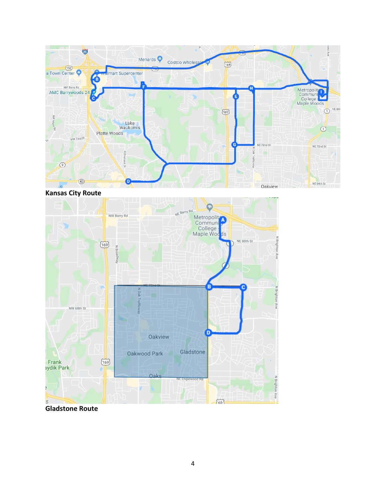

**Kansas City Route**



**Gladstone Route**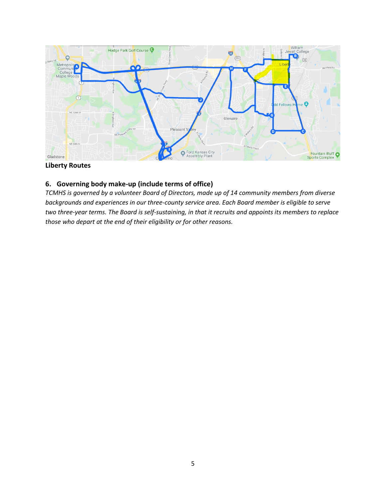

#### **Liberty Routes**

#### **6. Governing body make-up (include terms of office)**

*TCMHS is governed by a volunteer Board of Directors, made up of 14 community members from diverse backgrounds and experiences in our three-county service area. Each Board member is eligible to serve two three-year terms. The Board is self-sustaining, in that it recruits and appoints its members to replace those who depart at the end of their eligibility or for other reasons.*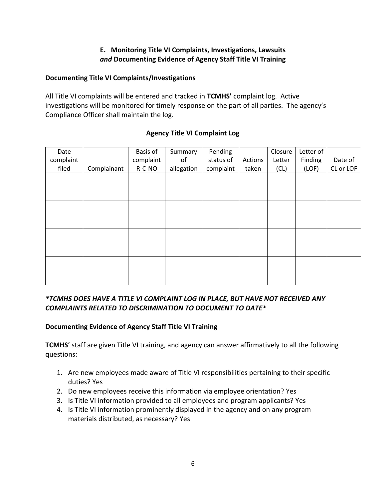#### **E. Monitoring Title VI Complaints, Investigations, Lawsuits** *and* **Documenting Evidence of Agency Staff Title VI Training**

#### **Documenting Title VI Complaints/Investigations**

All Title VI complaints will be entered and tracked in **TCMHS'** complaint log. Active investigations will be monitored for timely response on the part of all parties. The agency's Compliance Officer shall maintain the log.

|             |           | Summary    |           |         |        |         |           |
|-------------|-----------|------------|-----------|---------|--------|---------|-----------|
|             | complaint | of         | status of | Actions | Letter | Finding | Date of   |
| Complainant | R-C-NO    | allegation | complaint | taken   | (CL)   | (LOF)   | CL or LOF |
|             |           |            |           |         |        |         |           |
|             |           |            |           |         |        |         |           |
|             |           |            |           |         |        |         |           |
|             |           |            |           |         |        |         |           |
|             |           |            |           |         |        |         |           |
|             |           |            |           |         |        |         |           |
|             |           |            |           |         |        |         |           |
|             |           |            |           |         |        |         |           |
|             |           |            |           |         |        |         |           |
|             |           |            |           |         |        |         |           |
|             |           |            |           |         |        |         |           |
|             |           |            |           |         |        |         |           |
|             |           | Basis of   |           | Pending |        | Closure | Letter of |

#### **Agency Title VI Complaint Log**

### *\*TCMHS DOES HAVE A TITLE VI COMPLAINT LOG IN PLACE, BUT HAVE NOT RECEIVED ANY COMPLAINTS RELATED TO DISCRIMINATION TO DOCUMENT TO DATE\**

#### **Documenting Evidence of Agency Staff Title VI Training**

**TCMHS**' staff are given Title VI training, and agency can answer affirmatively to all the following questions:

- 1. Are new employees made aware of Title VI responsibilities pertaining to their specific duties? Yes
- 2. Do new employees receive this information via employee orientation? Yes
- 3. Is Title VI information provided to all employees and program applicants? Yes
- 4. Is Title VI information prominently displayed in the agency and on any program materials distributed, as necessary? Yes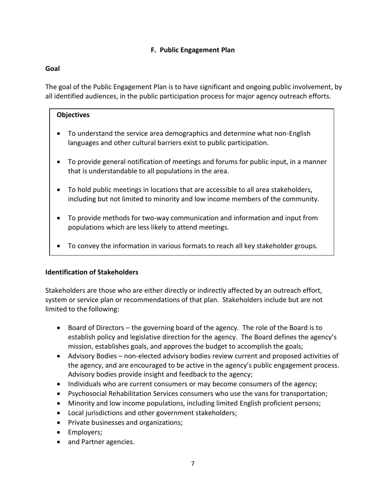#### **F. Public Engagement Plan**

#### **Goal**

The goal of the Public Engagement Plan is to have significant and ongoing public involvement, by all identified audiences, in the public participation process for major agency outreach efforts.

#### **Objectives**

- To understand the service area demographics and determine what non-English languages and other cultural barriers exist to public participation.
- To provide general notification of meetings and forums for public input, in a manner that is understandable to all populations in the area.
- To hold public meetings in locations that are accessible to all area stakeholders, including but not limited to minority and low income members of the community.
- To provide methods for two-way communication and information and input from populations which are less likely to attend meetings.
- To convey the information in various formats to reach all key stakeholder groups.

#### **Identification of Stakeholders**

Stakeholders are those who are either directly or indirectly affected by an outreach effort, system or service plan or recommendations of that plan. Stakeholders include but are not limited to the following:

- Board of Directors the governing board of the agency. The role of the Board is to establish policy and legislative direction for the agency. The Board defines the agency's mission, establishes goals, and approves the budget to accomplish the goals;
- Advisory Bodies non-elected advisory bodies review current and proposed activities of the agency, and are encouraged to be active in the agency's public engagement process. Advisory bodies provide insight and feedback to the agency;
- Individuals who are current consumers or may become consumers of the agency;
- Psychosocial Rehabilitation Services consumers who use the vans for transportation;
- Minority and low income populations, including limited English proficient persons;
- Local jurisdictions and other government stakeholders;
- Private businesses and organizations;
- Employers;
- and Partner agencies.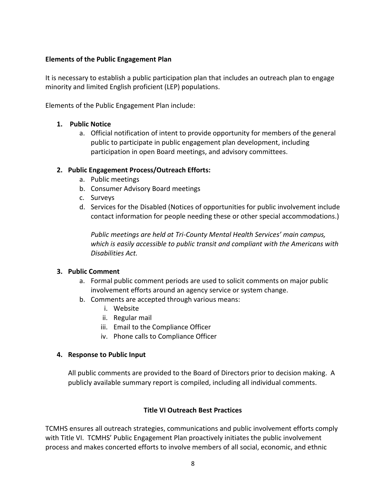#### **Elements of the Public Engagement Plan**

It is necessary to establish a public participation plan that includes an outreach plan to engage minority and limited English proficient (LEP) populations.

Elements of the Public Engagement Plan include:

#### **1. Public Notice**

a. Official notification of intent to provide opportunity for members of the general public to participate in public engagement plan development, including participation in open Board meetings, and advisory committees.

#### **2. Public Engagement Process/Outreach Efforts:**

- a. Public meetings
- b. Consumer Advisory Board meetings
- c. Surveys
- d. Services for the Disabled (Notices of opportunities for public involvement include contact information for people needing these or other special accommodations.)

*Public meetings are held at Tri-County Mental Health Services' main campus, which is easily accessible to public transit and compliant with the Americans with Disabilities Act.* 

#### **3. Public Comment**

- a. Formal public comment periods are used to solicit comments on major public involvement efforts around an agency service or system change.
- b. Comments are accepted through various means:
	- i. Website
	- ii. Regular mail
	- iii. Email to the Compliance Officer
	- iv. Phone calls to Compliance Officer

#### **4. Response to Public Input**

All public comments are provided to the Board of Directors prior to decision making. A publicly available summary report is compiled, including all individual comments.

#### **Title VI Outreach Best Practices**

TCMHS ensures all outreach strategies, communications and public involvement efforts comply with Title VI. TCMHS' Public Engagement Plan proactively initiates the public involvement process and makes concerted efforts to involve members of all social, economic, and ethnic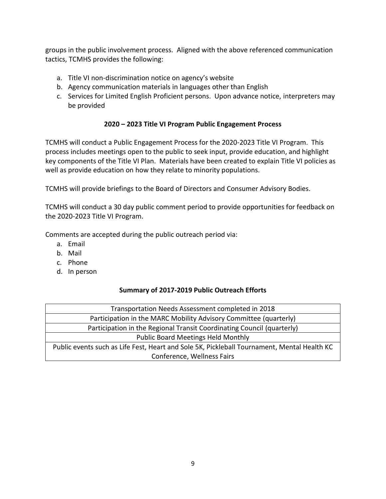groups in the public involvement process. Aligned with the above referenced communication tactics, TCMHS provides the following:

- a. Title VI non-discrimination notice on agency's website
- b. Agency communication materials in languages other than English
- c. Services for Limited English Proficient persons. Upon advance notice, interpreters may be provided

#### **2020 – 2023 Title VI Program Public Engagement Process**

TCMHS will conduct a Public Engagement Process for the 2020-2023 Title VI Program. This process includes meetings open to the public to seek input, provide education, and highlight key components of the Title VI Plan. Materials have been created to explain Title VI policies as well as provide education on how they relate to minority populations.

TCMHS will provide briefings to the Board of Directors and Consumer Advisory Bodies.

TCMHS will conduct a 30 day public comment period to provide opportunities for feedback on the 2020-2023 Title VI Program.

Comments are accepted during the public outreach period via:

- a. Email
- b. Mail
- c. Phone
- d. In person

#### **Summary of 2017-2019 Public Outreach Efforts**

| Transportation Needs Assessment completed in 2018                                           |  |  |  |  |  |
|---------------------------------------------------------------------------------------------|--|--|--|--|--|
| Participation in the MARC Mobility Advisory Committee (quarterly)                           |  |  |  |  |  |
| Participation in the Regional Transit Coordinating Council (quarterly)                      |  |  |  |  |  |
| <b>Public Board Meetings Held Monthly</b>                                                   |  |  |  |  |  |
| Public events such as Life Fest, Heart and Sole 5K, Pickleball Tournament, Mental Health KC |  |  |  |  |  |
| Conference, Wellness Fairs                                                                  |  |  |  |  |  |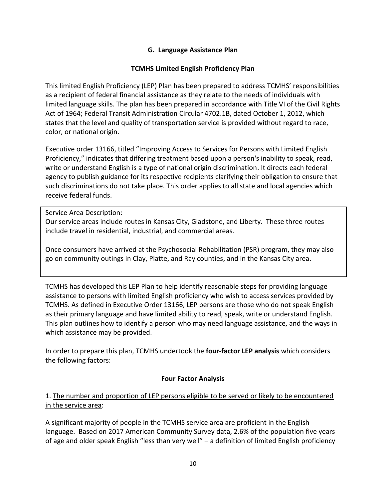#### **G. Language Assistance Plan**

#### **TCMHS Limited English Proficiency Plan**

This limited English Proficiency (LEP) Plan has been prepared to address TCMHS' responsibilities as a recipient of federal financial assistance as they relate to the needs of individuals with limited language skills. The plan has been prepared in accordance with Title VI of the Civil Rights Act of 1964; Federal Transit Administration Circular 4702.1B, dated October 1, 2012, which states that the level and quality of transportation service is provided without regard to race, color, or national origin.

Executive order 13166, titled "Improving Access to Services for Persons with Limited English Proficiency," indicates that differing treatment based upon a person's inability to speak, read, write or understand English is a type of national origin discrimination. It directs each federal agency to publish guidance for its respective recipients clarifying their obligation to ensure that such discriminations do not take place. This order applies to all state and local agencies which receive federal funds.

#### Service Area Description:

Our service areas include routes in Kansas City, Gladstone, and Liberty. These three routes include travel in residential, industrial, and commercial areas.

Once consumers have arrived at the Psychosocial Rehabilitation (PSR) program, they may also go on community outings in Clay, Platte, and Ray counties, and in the Kansas City area.

TCMHS has developed this LEP Plan to help identify reasonable steps for providing language assistance to persons with limited English proficiency who wish to access services provided by TCMHS. As defined in Executive Order 13166, LEP persons are those who do not speak English as their primary language and have limited ability to read, speak, write or understand English. This plan outlines how to identify a person who may need language assistance, and the ways in which assistance may be provided.

In order to prepare this plan, TCMHS undertook the **four-factor LEP analysis** which considers the following factors:

#### **Four Factor Analysis**

#### 1. The number and proportion of LEP persons eligible to be served or likely to be encountered in the service area:

A significant majority of people in the TCMHS service area are proficient in the English language. Based on 2017 American Community Survey data, 2.6% of the population five years of age and older speak English "less than very well" – a definition of limited English proficiency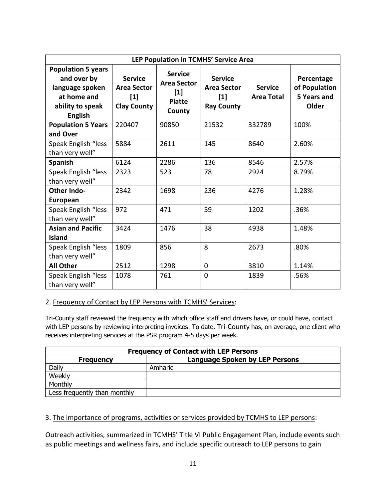| LEP Population in TCMHS' Service Area                                                                            |                                                                     |                                                                          |                                                                    |                                     |                                                     |  |
|------------------------------------------------------------------------------------------------------------------|---------------------------------------------------------------------|--------------------------------------------------------------------------|--------------------------------------------------------------------|-------------------------------------|-----------------------------------------------------|--|
| <b>Population 5 years</b><br>and over by<br>language spoken<br>at home and<br>ability to speak<br><b>English</b> | <b>Service</b><br><b>Area Sector</b><br>$[1]$<br><b>Clay County</b> | <b>Service</b><br><b>Area Sector</b><br>$[1]$<br><b>Platte</b><br>County | <b>Service</b><br><b>Area Sector</b><br>$[1]$<br><b>Ray County</b> | <b>Service</b><br><b>Area Total</b> | Percentage<br>of Population<br>5 Years and<br>Older |  |
| <b>Population 5 Years</b>                                                                                        | 220407                                                              | 90850                                                                    | 21532                                                              | 332789                              | 100%                                                |  |
| and Over<br>Speak English "less<br>than very well"                                                               | 5884                                                                | 2611                                                                     | 145                                                                | 8640                                | 2.60%                                               |  |
| <b>Spanish</b>                                                                                                   | 6124                                                                | 2286                                                                     | 136                                                                | 8546                                | 2.57%                                               |  |
| Speak English "less<br>than very well"                                                                           | 2323                                                                | 523                                                                      | 78                                                                 | 2924                                | 8.79%                                               |  |
| <b>Other Indo-</b><br>European                                                                                   | 2342                                                                | 1698                                                                     | 236                                                                | 4276                                | 1.28%                                               |  |
| Speak English "less<br>than very well"                                                                           | 972                                                                 | 471                                                                      | 59                                                                 | 1202                                | .36%                                                |  |
| <b>Asian and Pacific</b><br><b>Island</b>                                                                        | 3424                                                                | 1476                                                                     | 38                                                                 | 4938                                | 1.48%                                               |  |
| Speak English "less<br>than very well"                                                                           | 1809                                                                | 856                                                                      | 8                                                                  | 2673                                | .80%                                                |  |
| <b>All Other</b>                                                                                                 | 2512                                                                | 1298                                                                     | $\mathbf 0$                                                        | 3810                                | 1.14%                                               |  |
| Speak English "less<br>than very well"                                                                           | 1078                                                                | 761                                                                      | $\mathbf 0$                                                        | 1839                                | .56%                                                |  |

#### 2. Frequency of Contact by LEP Persons with TCMHS' Services:

Tri-County staff reviewed the frequency with which office staff and drivers have, or could have, contact with LEP persons by reviewing interpreting invoices. To date, Tri-County has, on average, one client who receives interpreting services at the PSR program 4-5 days per week.

| <b>Frequency of Contact with LEP Persons</b> |                                       |  |  |  |  |  |
|----------------------------------------------|---------------------------------------|--|--|--|--|--|
| <b>Frequency</b>                             | <b>Language Spoken by LEP Persons</b> |  |  |  |  |  |
| Daily                                        | Amharic                               |  |  |  |  |  |
| Weekly                                       |                                       |  |  |  |  |  |
| Monthly                                      |                                       |  |  |  |  |  |
| Less frequently than monthly                 |                                       |  |  |  |  |  |

#### 3. The importance of programs, activities or services provided by TCMHS to LEP persons:

Outreach activities, summarized in TCMHS' Title VI Public Engagement Plan, include events such as public meetings and wellness fairs, and include specific outreach to LEP persons to gain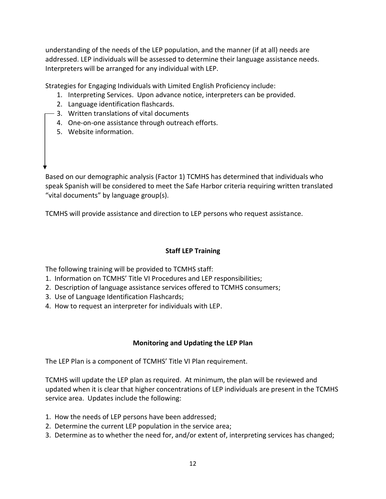understanding of the needs of the LEP population, and the manner (if at all) needs are addressed. LEP individuals will be assessed to determine their language assistance needs. Interpreters will be arranged for any individual with LEP.

Strategies for Engaging Individuals with Limited English Proficiency include:

- 1. Interpreting Services. Upon advance notice, interpreters can be provided.
- 2. Language identification flashcards.
- 3. Written translations of vital documents
- 4. One-on-one assistance through outreach efforts.
- 5. Website information.

Based on our demographic analysis (Factor 1) TCMHS has determined that individuals who speak Spanish will be considered to meet the Safe Harbor criteria requiring written translated "vital documents" by language group(s).

TCMHS will provide assistance and direction to LEP persons who request assistance.

#### **Staff LEP Training**

The following training will be provided to TCMHS staff:

- 1. Information on TCMHS' Title VI Procedures and LEP responsibilities;
- 2. Description of language assistance services offered to TCMHS consumers;
- 3. Use of Language Identification Flashcards;
- 4. How to request an interpreter for individuals with LEP.

#### **Monitoring and Updating the LEP Plan**

The LEP Plan is a component of TCMHS' Title VI Plan requirement.

TCMHS will update the LEP plan as required. At minimum, the plan will be reviewed and updated when it is clear that higher concentrations of LEP individuals are present in the TCMHS service area. Updates include the following:

- 1. How the needs of LEP persons have been addressed;
- 2. Determine the current LEP population in the service area;
- 3. Determine as to whether the need for, and/or extent of, interpreting services has changed;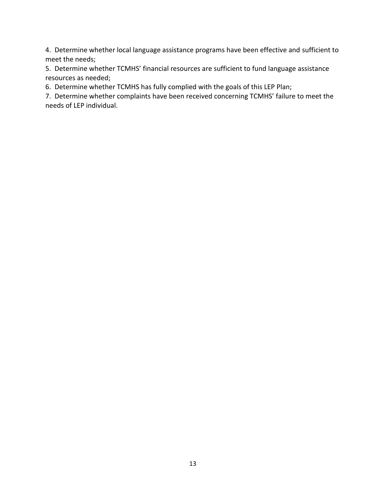4. Determine whether local language assistance programs have been effective and sufficient to meet the needs;

5. Determine whether TCMHS' financial resources are sufficient to fund language assistance resources as needed;

6. Determine whether TCMHS has fully complied with the goals of this LEP Plan;

7. Determine whether complaints have been received concerning TCMHS' failure to meet the needs of LEP individual.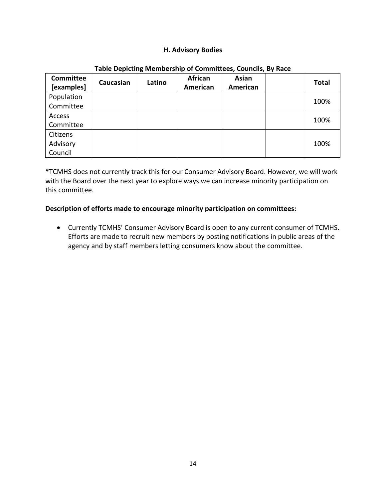#### **H. Advisory Bodies**

| <b>Committee</b><br>[examples] | Caucasian | Latino | <b>African</b><br>American | Asian<br>American | <b>Total</b> |
|--------------------------------|-----------|--------|----------------------------|-------------------|--------------|
| Population                     |           |        |                            |                   | 100%         |
| Committee                      |           |        |                            |                   |              |
| Access                         |           |        |                            |                   | 100%         |
| Committee                      |           |        |                            |                   |              |
| Citizens                       |           |        |                            |                   |              |
| Advisory                       |           |        |                            |                   | 100%         |
| Council                        |           |        |                            |                   |              |

#### **Table Depicting Membership of Committees, Councils, By Race**

\*TCMHS does not currently track this for our Consumer Advisory Board. However, we will work with the Board over the next year to explore ways we can increase minority participation on this committee.

#### **Description of efforts made to encourage minority participation on committees:**

• Currently TCMHS' Consumer Advisory Board is open to any current consumer of TCMHS. Efforts are made to recruit new members by posting notifications in public areas of the agency and by staff members letting consumers know about the committee.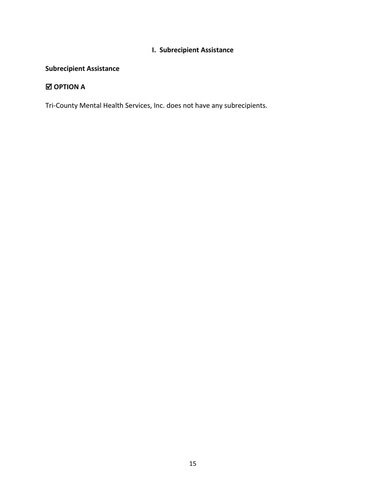# **I. Subrecipient Assistance**

# **Subrecipient Assistance**

# **OPTION A**

Tri-County Mental Health Services, Inc. does not have any subrecipients.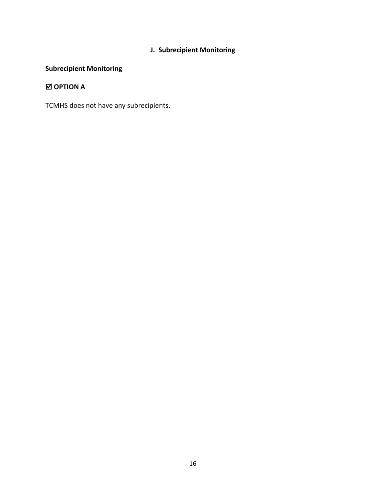# **J. Subrecipient Monitoring**

# **Subrecipient Monitoring**

# **OPTION A**

TCMHS does not have any subrecipients.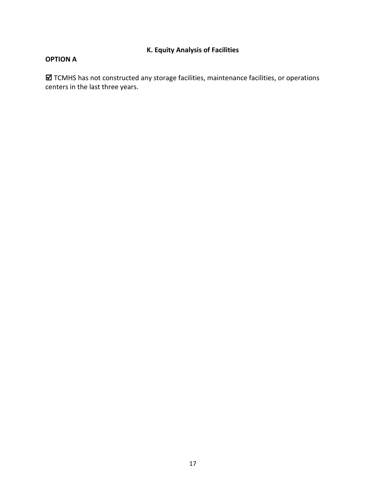# **K. Equity Analysis of Facilities**

#### **OPTION A**

 TCMHS has not constructed any storage facilities, maintenance facilities, or operations centers in the last three years.